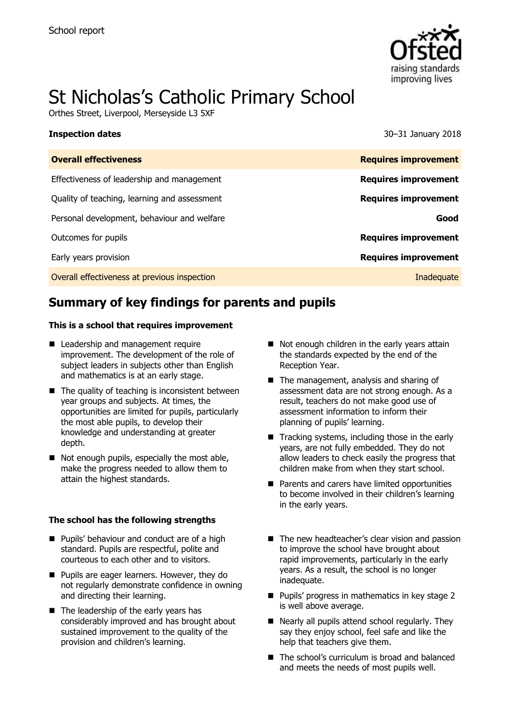

# St Nicholas's Catholic Primary School

Orthes Street, Liverpool, Merseyside L3 5XF

**Inspection dates** 30–31 January 2018

| <b>Overall effectiveness</b>                 | <b>Requires improvement</b> |
|----------------------------------------------|-----------------------------|
| Effectiveness of leadership and management   | <b>Requires improvement</b> |
| Quality of teaching, learning and assessment | <b>Requires improvement</b> |
| Personal development, behaviour and welfare  | Good                        |
| Outcomes for pupils                          | <b>Requires improvement</b> |
| Early years provision                        | <b>Requires improvement</b> |
| Overall effectiveness at previous inspection | Inadequate                  |
|                                              |                             |

# **Summary of key findings for parents and pupils**

### **This is a school that requires improvement**

- Leadership and management require improvement. The development of the role of subject leaders in subjects other than English and mathematics is at an early stage.
- $\blacksquare$  The quality of teaching is inconsistent between year groups and subjects. At times, the opportunities are limited for pupils, particularly the most able pupils, to develop their knowledge and understanding at greater depth.
- Not enough pupils, especially the most able, make the progress needed to allow them to attain the highest standards.

### **The school has the following strengths**

- **Pupils' behaviour and conduct are of a high** standard. Pupils are respectful, polite and courteous to each other and to visitors.
- **Pupils are eager learners. However, they do** not regularly demonstrate confidence in owning and directing their learning.
- The leadership of the early years has considerably improved and has brought about sustained improvement to the quality of the provision and children's learning.
- $\blacksquare$  Not enough children in the early years attain the standards expected by the end of the Reception Year.
- The management, analysis and sharing of assessment data are not strong enough. As a result, teachers do not make good use of assessment information to inform their planning of pupils' learning.
- Tracking systems, including those in the early years, are not fully embedded. They do not allow leaders to check easily the progress that children make from when they start school.
- **Parents and carers have limited opportunities** to become involved in their children's learning in the early years.
- The new headteacher's clear vision and passion to improve the school have brought about rapid improvements, particularly in the early years. As a result, the school is no longer inadequate.
- **Pupils' progress in mathematics in key stage 2** is well above average.
- Nearly all pupils attend school regularly. They say they enjoy school, feel safe and like the help that teachers give them.
- The school's curriculum is broad and balanced and meets the needs of most pupils well.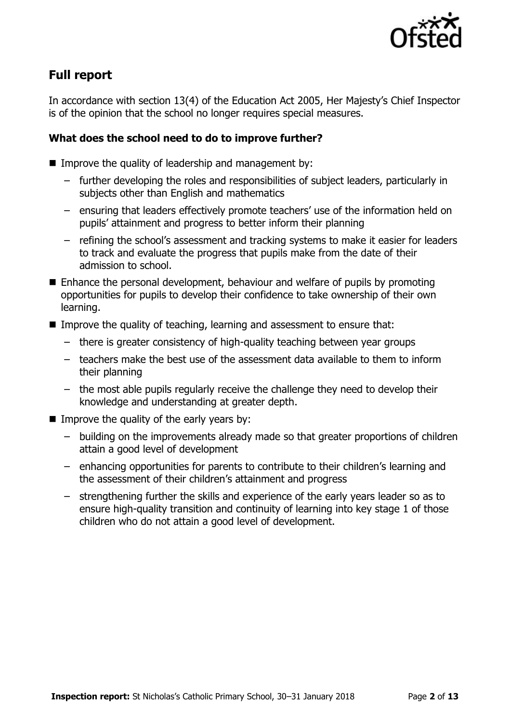

# **Full report**

In accordance with section 13(4) of the Education Act 2005, Her Majesty's Chief Inspector is of the opinion that the school no longer requires special measures.

### **What does the school need to do to improve further?**

- $\blacksquare$  Improve the quality of leadership and management by:
	- further developing the roles and responsibilities of subject leaders, particularly in subjects other than English and mathematics
	- ensuring that leaders effectively promote teachers' use of the information held on pupils' attainment and progress to better inform their planning
	- refining the school's assessment and tracking systems to make it easier for leaders to track and evaluate the progress that pupils make from the date of their admission to school.
- Enhance the personal development, behaviour and welfare of pupils by promoting opportunities for pupils to develop their confidence to take ownership of their own learning.
- Improve the quality of teaching, learning and assessment to ensure that:
	- there is greater consistency of high-quality teaching between year groups
	- teachers make the best use of the assessment data available to them to inform their planning
	- the most able pupils regularly receive the challenge they need to develop their knowledge and understanding at greater depth.
- Improve the quality of the early years by:
	- building on the improvements already made so that greater proportions of children attain a good level of development
	- enhancing opportunities for parents to contribute to their children's learning and the assessment of their children's attainment and progress
	- strengthening further the skills and experience of the early years leader so as to ensure high-quality transition and continuity of learning into key stage 1 of those children who do not attain a good level of development.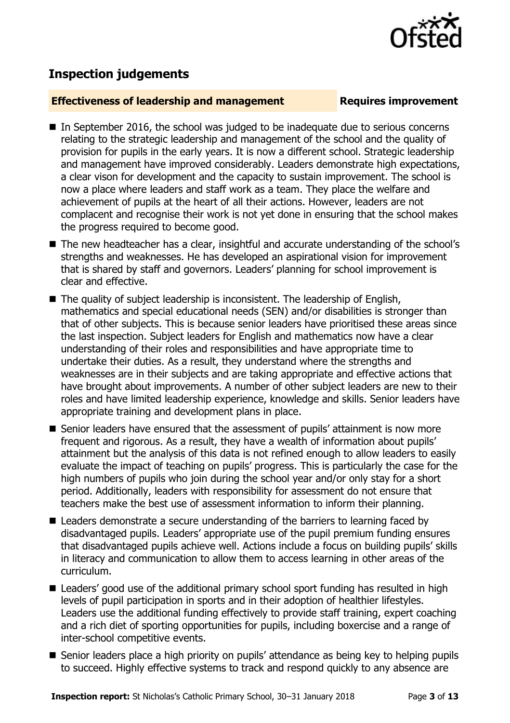

## **Inspection judgements**

### **Effectiveness of leadership and management Requires improvement**

- $\blacksquare$  In September 2016, the school was judged to be inadequate due to serious concerns relating to the strategic leadership and management of the school and the quality of provision for pupils in the early years. It is now a different school. Strategic leadership and management have improved considerably. Leaders demonstrate high expectations, a clear vison for development and the capacity to sustain improvement. The school is now a place where leaders and staff work as a team. They place the welfare and achievement of pupils at the heart of all their actions. However, leaders are not complacent and recognise their work is not yet done in ensuring that the school makes the progress required to become good.
- The new headteacher has a clear, insightful and accurate understanding of the school's strengths and weaknesses. He has developed an aspirational vision for improvement that is shared by staff and governors. Leaders' planning for school improvement is clear and effective.
- The quality of subject leadership is inconsistent. The leadership of English, mathematics and special educational needs (SEN) and/or disabilities is stronger than that of other subjects. This is because senior leaders have prioritised these areas since the last inspection. Subject leaders for English and mathematics now have a clear understanding of their roles and responsibilities and have appropriate time to undertake their duties. As a result, they understand where the strengths and weaknesses are in their subjects and are taking appropriate and effective actions that have brought about improvements. A number of other subject leaders are new to their roles and have limited leadership experience, knowledge and skills. Senior leaders have appropriate training and development plans in place.
- Senior leaders have ensured that the assessment of pupils' attainment is now more frequent and rigorous. As a result, they have a wealth of information about pupils' attainment but the analysis of this data is not refined enough to allow leaders to easily evaluate the impact of teaching on pupils' progress. This is particularly the case for the high numbers of pupils who join during the school year and/or only stay for a short period. Additionally, leaders with responsibility for assessment do not ensure that teachers make the best use of assessment information to inform their planning.
- Leaders demonstrate a secure understanding of the barriers to learning faced by disadvantaged pupils. Leaders' appropriate use of the pupil premium funding ensures that disadvantaged pupils achieve well. Actions include a focus on building pupils' skills in literacy and communication to allow them to access learning in other areas of the curriculum.
- Leaders' good use of the additional primary school sport funding has resulted in high levels of pupil participation in sports and in their adoption of healthier lifestyles. Leaders use the additional funding effectively to provide staff training, expert coaching and a rich diet of sporting opportunities for pupils, including boxercise and a range of inter-school competitive events.
- Senior leaders place a high priority on pupils' attendance as being key to helping pupils to succeed. Highly effective systems to track and respond quickly to any absence are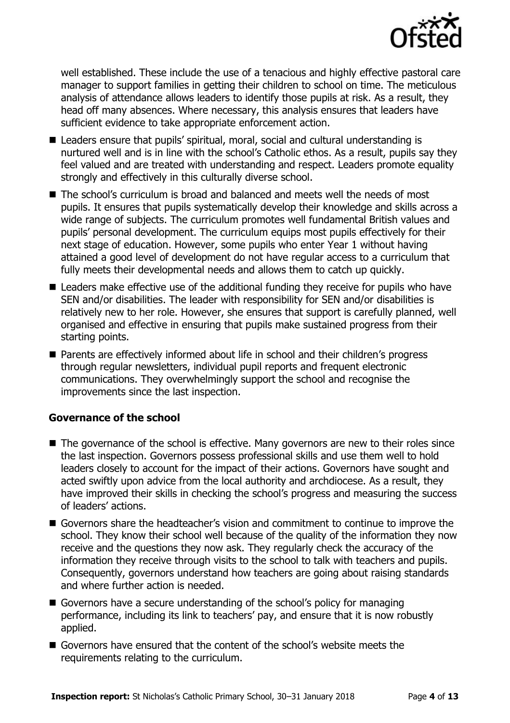

well established. These include the use of a tenacious and highly effective pastoral care manager to support families in getting their children to school on time. The meticulous analysis of attendance allows leaders to identify those pupils at risk. As a result, they head off many absences. Where necessary, this analysis ensures that leaders have sufficient evidence to take appropriate enforcement action.

- Leaders ensure that pupils' spiritual, moral, social and cultural understanding is nurtured well and is in line with the school's Catholic ethos. As a result, pupils say they feel valued and are treated with understanding and respect. Leaders promote equality strongly and effectively in this culturally diverse school.
- The school's curriculum is broad and balanced and meets well the needs of most pupils. It ensures that pupils systematically develop their knowledge and skills across a wide range of subjects. The curriculum promotes well fundamental British values and pupils' personal development. The curriculum equips most pupils effectively for their next stage of education. However, some pupils who enter Year 1 without having attained a good level of development do not have regular access to a curriculum that fully meets their developmental needs and allows them to catch up quickly.
- Leaders make effective use of the additional funding they receive for pupils who have SEN and/or disabilities. The leader with responsibility for SEN and/or disabilities is relatively new to her role. However, she ensures that support is carefully planned, well organised and effective in ensuring that pupils make sustained progress from their starting points.
- Parents are effectively informed about life in school and their children's progress through regular newsletters, individual pupil reports and frequent electronic communications. They overwhelmingly support the school and recognise the improvements since the last inspection.

### **Governance of the school**

- The governance of the school is effective. Many governors are new to their roles since the last inspection. Governors possess professional skills and use them well to hold leaders closely to account for the impact of their actions. Governors have sought and acted swiftly upon advice from the local authority and archdiocese. As a result, they have improved their skills in checking the school's progress and measuring the success of leaders' actions.
- Governors share the headteacher's vision and commitment to continue to improve the school. They know their school well because of the quality of the information they now receive and the questions they now ask. They regularly check the accuracy of the information they receive through visits to the school to talk with teachers and pupils. Consequently, governors understand how teachers are going about raising standards and where further action is needed.
- Governors have a secure understanding of the school's policy for managing performance, including its link to teachers' pay, and ensure that it is now robustly applied.
- Governors have ensured that the content of the school's website meets the requirements relating to the curriculum.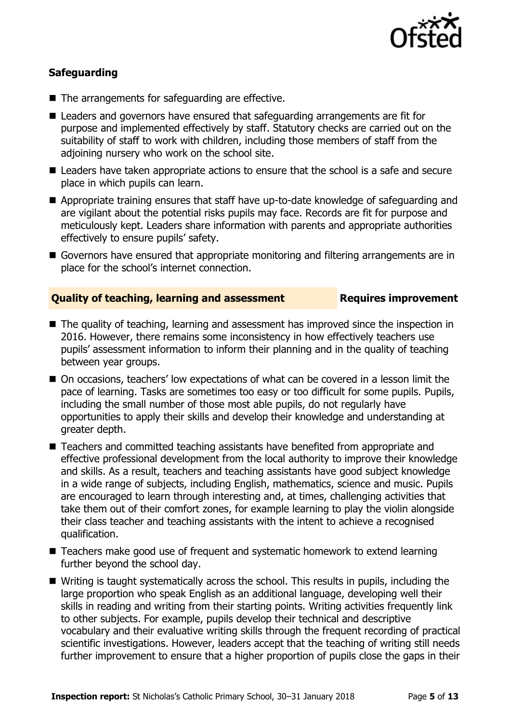

### **Safeguarding**

- The arrangements for safeguarding are effective.
- Leaders and governors have ensured that safeguarding arrangements are fit for purpose and implemented effectively by staff. Statutory checks are carried out on the suitability of staff to work with children, including those members of staff from the adjoining nursery who work on the school site.
- **E** Leaders have taken appropriate actions to ensure that the school is a safe and secure place in which pupils can learn.
- Appropriate training ensures that staff have up-to-date knowledge of safeguarding and are vigilant about the potential risks pupils may face. Records are fit for purpose and meticulously kept. Leaders share information with parents and appropriate authorities effectively to ensure pupils' safety.
- Governors have ensured that appropriate monitoring and filtering arrangements are in place for the school's internet connection.

### **Quality of teaching, learning and assessment Requires improvement**

- The quality of teaching, learning and assessment has improved since the inspection in 2016. However, there remains some inconsistency in how effectively teachers use pupils' assessment information to inform their planning and in the quality of teaching between year groups.
- On occasions, teachers' low expectations of what can be covered in a lesson limit the pace of learning. Tasks are sometimes too easy or too difficult for some pupils. Pupils, including the small number of those most able pupils, do not regularly have opportunities to apply their skills and develop their knowledge and understanding at greater depth.
- Teachers and committed teaching assistants have benefited from appropriate and effective professional development from the local authority to improve their knowledge and skills. As a result, teachers and teaching assistants have good subject knowledge in a wide range of subjects, including English, mathematics, science and music. Pupils are encouraged to learn through interesting and, at times, challenging activities that take them out of their comfort zones, for example learning to play the violin alongside their class teacher and teaching assistants with the intent to achieve a recognised qualification.
- Teachers make good use of frequent and systematic homework to extend learning further beyond the school day.
- Writing is taught systematically across the school. This results in pupils, including the large proportion who speak English as an additional language, developing well their skills in reading and writing from their starting points. Writing activities frequently link to other subjects. For example, pupils develop their technical and descriptive vocabulary and their evaluative writing skills through the frequent recording of practical scientific investigations. However, leaders accept that the teaching of writing still needs further improvement to ensure that a higher proportion of pupils close the gaps in their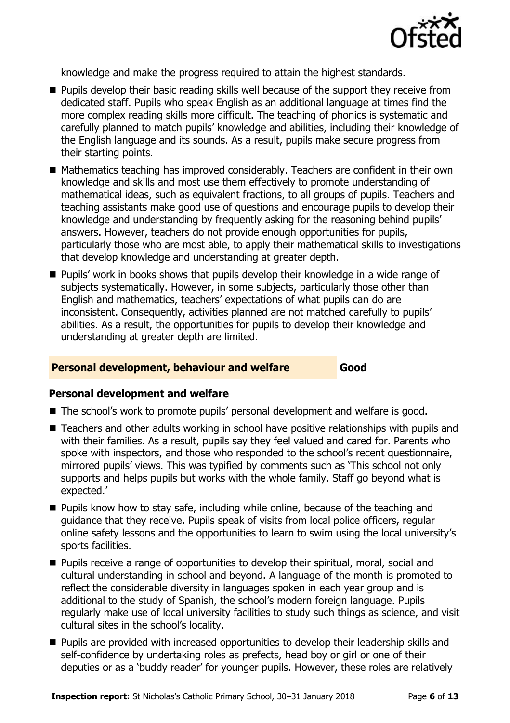

knowledge and make the progress required to attain the highest standards.

- **Pupils develop their basic reading skills well because of the support they receive from** dedicated staff. Pupils who speak English as an additional language at times find the more complex reading skills more difficult. The teaching of phonics is systematic and carefully planned to match pupils' knowledge and abilities, including their knowledge of the English language and its sounds. As a result, pupils make secure progress from their starting points.
- Mathematics teaching has improved considerably. Teachers are confident in their own knowledge and skills and most use them effectively to promote understanding of mathematical ideas, such as equivalent fractions, to all groups of pupils. Teachers and teaching assistants make good use of questions and encourage pupils to develop their knowledge and understanding by frequently asking for the reasoning behind pupils' answers. However, teachers do not provide enough opportunities for pupils, particularly those who are most able, to apply their mathematical skills to investigations that develop knowledge and understanding at greater depth.
- **Pupils'** work in books shows that pupils develop their knowledge in a wide range of subjects systematically. However, in some subjects, particularly those other than English and mathematics, teachers' expectations of what pupils can do are inconsistent. Consequently, activities planned are not matched carefully to pupils' abilities. As a result, the opportunities for pupils to develop their knowledge and understanding at greater depth are limited.

### **Personal development, behaviour and welfare Good**

### **Personal development and welfare**

- The school's work to promote pupils' personal development and welfare is good.
- Teachers and other adults working in school have positive relationships with pupils and with their families. As a result, pupils say they feel valued and cared for. Parents who spoke with inspectors, and those who responded to the school's recent questionnaire, mirrored pupils' views. This was typified by comments such as 'This school not only supports and helps pupils but works with the whole family. Staff go beyond what is expected.'
- **Pupils know how to stay safe, including while online, because of the teaching and** guidance that they receive. Pupils speak of visits from local police officers, regular online safety lessons and the opportunities to learn to swim using the local university's sports facilities.
- **Pupils receive a range of opportunities to develop their spiritual, moral, social and** cultural understanding in school and beyond. A language of the month is promoted to reflect the considerable diversity in languages spoken in each year group and is additional to the study of Spanish, the school's modern foreign language. Pupils regularly make use of local university facilities to study such things as science, and visit cultural sites in the school's locality.
- **Pupils are provided with increased opportunities to develop their leadership skills and** self-confidence by undertaking roles as prefects, head boy or girl or one of their deputies or as a 'buddy reader' for younger pupils. However, these roles are relatively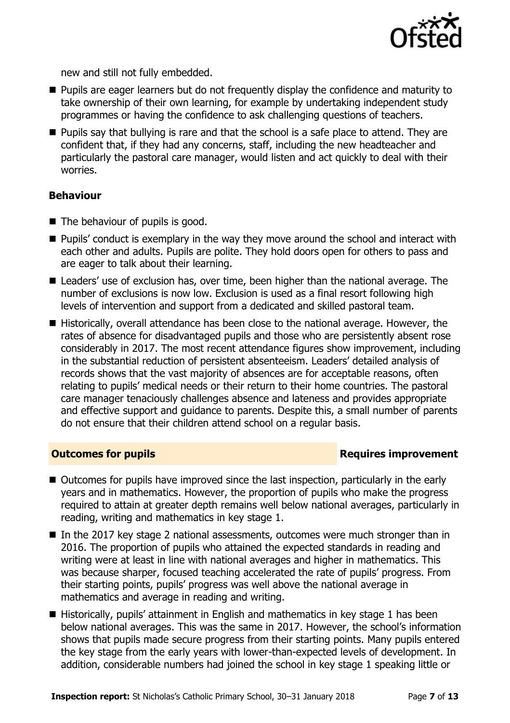

new and still not fully embedded.

- **Pupils are eager learners but do not frequently display the confidence and maturity to** take ownership of their own learning, for example by undertaking independent study programmes or having the confidence to ask challenging questions of teachers.
- **Pupils say that bullying is rare and that the school is a safe place to attend. They are** confident that, if they had any concerns, staff, including the new headteacher and particularly the pastoral care manager, would listen and act quickly to deal with their worries.

### **Behaviour**

- The behaviour of pupils is good.
- **Pupils'** conduct is exemplary in the way they move around the school and interact with each other and adults. Pupils are polite. They hold doors open for others to pass and are eager to talk about their learning.
- Leaders' use of exclusion has, over time, been higher than the national average. The number of exclusions is now low. Exclusion is used as a final resort following high levels of intervention and support from a dedicated and skilled pastoral team.
- Historically, overall attendance has been close to the national average. However, the rates of absence for disadvantaged pupils and those who are persistently absent rose considerably in 2017. The most recent attendance figures show improvement, including in the substantial reduction of persistent absenteeism. Leaders' detailed analysis of records shows that the vast majority of absences are for acceptable reasons, often relating to pupils' medical needs or their return to their home countries. The pastoral care manager tenaciously challenges absence and lateness and provides appropriate and effective support and guidance to parents. Despite this, a small number of parents do not ensure that their children attend school on a regular basis.

### **Outcomes for pupils Requires improvement**

- Outcomes for pupils have improved since the last inspection, particularly in the early years and in mathematics. However, the proportion of pupils who make the progress required to attain at greater depth remains well below national averages, particularly in reading, writing and mathematics in key stage 1.
- In the 2017 key stage 2 national assessments, outcomes were much stronger than in 2016. The proportion of pupils who attained the expected standards in reading and writing were at least in line with national averages and higher in mathematics. This was because sharper, focused teaching accelerated the rate of pupils' progress. From their starting points, pupils' progress was well above the national average in mathematics and average in reading and writing.
- Historically, pupils' attainment in English and mathematics in key stage 1 has been below national averages. This was the same in 2017. However, the school's information shows that pupils made secure progress from their starting points. Many pupils entered the key stage from the early years with lower-than-expected levels of development. In addition, considerable numbers had joined the school in key stage 1 speaking little or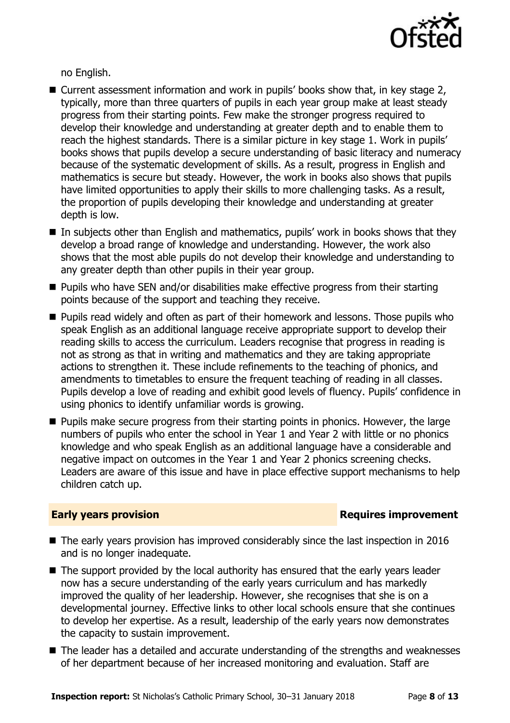

no English.

- Current assessment information and work in pupils' books show that, in key stage 2, typically, more than three quarters of pupils in each year group make at least steady progress from their starting points. Few make the stronger progress required to develop their knowledge and understanding at greater depth and to enable them to reach the highest standards. There is a similar picture in key stage 1. Work in pupils' books shows that pupils develop a secure understanding of basic literacy and numeracy because of the systematic development of skills. As a result, progress in English and mathematics is secure but steady. However, the work in books also shows that pupils have limited opportunities to apply their skills to more challenging tasks. As a result, the proportion of pupils developing their knowledge and understanding at greater depth is low.
- In subjects other than English and mathematics, pupils' work in books shows that they develop a broad range of knowledge and understanding. However, the work also shows that the most able pupils do not develop their knowledge and understanding to any greater depth than other pupils in their year group.
- Pupils who have SEN and/or disabilities make effective progress from their starting points because of the support and teaching they receive.
- **Pupils read widely and often as part of their homework and lessons. Those pupils who** speak English as an additional language receive appropriate support to develop their reading skills to access the curriculum. Leaders recognise that progress in reading is not as strong as that in writing and mathematics and they are taking appropriate actions to strengthen it. These include refinements to the teaching of phonics, and amendments to timetables to ensure the frequent teaching of reading in all classes. Pupils develop a love of reading and exhibit good levels of fluency. Pupils' confidence in using phonics to identify unfamiliar words is growing.
- **Pupils make secure progress from their starting points in phonics. However, the large** numbers of pupils who enter the school in Year 1 and Year 2 with little or no phonics knowledge and who speak English as an additional language have a considerable and negative impact on outcomes in the Year 1 and Year 2 phonics screening checks. Leaders are aware of this issue and have in place effective support mechanisms to help children catch up.

### **Early years provision**

- The early years provision has improved considerably since the last inspection in 2016 and is no longer inadequate.
- The support provided by the local authority has ensured that the early years leader now has a secure understanding of the early years curriculum and has markedly improved the quality of her leadership. However, she recognises that she is on a developmental journey. Effective links to other local schools ensure that she continues to develop her expertise. As a result, leadership of the early years now demonstrates the capacity to sustain improvement.
- The leader has a detailed and accurate understanding of the strengths and weaknesses of her department because of her increased monitoring and evaluation. Staff are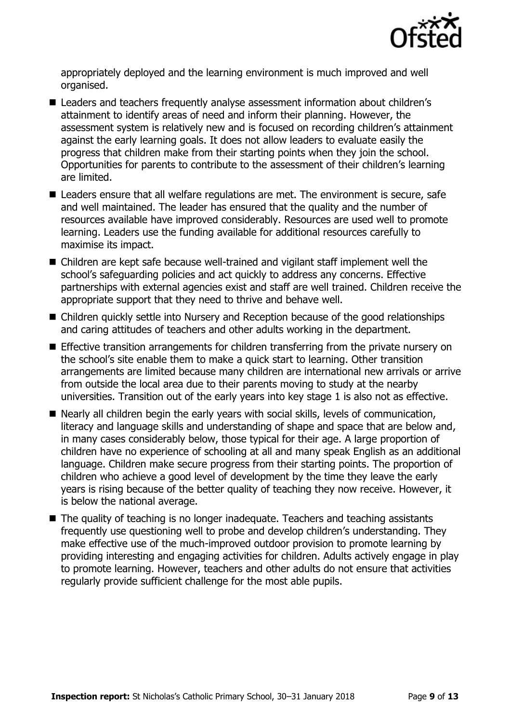

appropriately deployed and the learning environment is much improved and well organised.

- Leaders and teachers frequently analyse assessment information about children's attainment to identify areas of need and inform their planning. However, the assessment system is relatively new and is focused on recording children's attainment against the early learning goals. It does not allow leaders to evaluate easily the progress that children make from their starting points when they join the school. Opportunities for parents to contribute to the assessment of their children's learning are limited.
- Leaders ensure that all welfare regulations are met. The environment is secure, safe and well maintained. The leader has ensured that the quality and the number of resources available have improved considerably. Resources are used well to promote learning. Leaders use the funding available for additional resources carefully to maximise its impact.
- Children are kept safe because well-trained and vigilant staff implement well the school's safeguarding policies and act quickly to address any concerns. Effective partnerships with external agencies exist and staff are well trained. Children receive the appropriate support that they need to thrive and behave well.
- Children quickly settle into Nursery and Reception because of the good relationships and caring attitudes of teachers and other adults working in the department.
- **E** Effective transition arrangements for children transferring from the private nursery on the school's site enable them to make a quick start to learning. Other transition arrangements are limited because many children are international new arrivals or arrive from outside the local area due to their parents moving to study at the nearby universities. Transition out of the early years into key stage 1 is also not as effective.
- Nearly all children begin the early years with social skills, levels of communication, literacy and language skills and understanding of shape and space that are below and, in many cases considerably below, those typical for their age. A large proportion of children have no experience of schooling at all and many speak English as an additional language. Children make secure progress from their starting points. The proportion of children who achieve a good level of development by the time they leave the early years is rising because of the better quality of teaching they now receive. However, it is below the national average.
- The quality of teaching is no longer inadequate. Teachers and teaching assistants frequently use questioning well to probe and develop children's understanding. They make effective use of the much-improved outdoor provision to promote learning by providing interesting and engaging activities for children. Adults actively engage in play to promote learning. However, teachers and other adults do not ensure that activities regularly provide sufficient challenge for the most able pupils.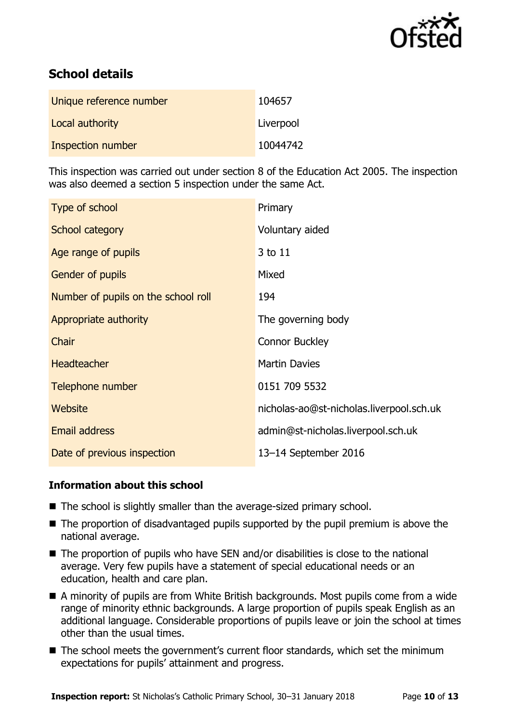

# **School details**

| Unique reference number | 104657    |
|-------------------------|-----------|
| Local authority         | Liverpool |
| Inspection number       | 10044742  |

This inspection was carried out under section 8 of the Education Act 2005. The inspection was also deemed a section 5 inspection under the same Act.

| Type of school                      | Primary                                  |
|-------------------------------------|------------------------------------------|
| School category                     | Voluntary aided                          |
| Age range of pupils                 | 3 to 11                                  |
| Gender of pupils                    | Mixed                                    |
| Number of pupils on the school roll | 194                                      |
| Appropriate authority               | The governing body                       |
| Chair                               | <b>Connor Buckley</b>                    |
| <b>Headteacher</b>                  | <b>Martin Davies</b>                     |
| Telephone number                    | 0151 709 5532                            |
| <b>Website</b>                      | nicholas-ao@st-nicholas.liverpool.sch.uk |
| Email address                       | admin@st-nicholas.liverpool.sch.uk       |
| Date of previous inspection         | 13-14 September 2016                     |

### **Information about this school**

- The school is slightly smaller than the average-sized primary school.
- The proportion of disadvantaged pupils supported by the pupil premium is above the national average.
- $\blacksquare$  The proportion of pupils who have SEN and/or disabilities is close to the national average. Very few pupils have a statement of special educational needs or an education, health and care plan.
- A minority of pupils are from White British backgrounds. Most pupils come from a wide range of minority ethnic backgrounds. A large proportion of pupils speak English as an additional language. Considerable proportions of pupils leave or join the school at times other than the usual times.
- The school meets the government's current floor standards, which set the minimum expectations for pupils' attainment and progress.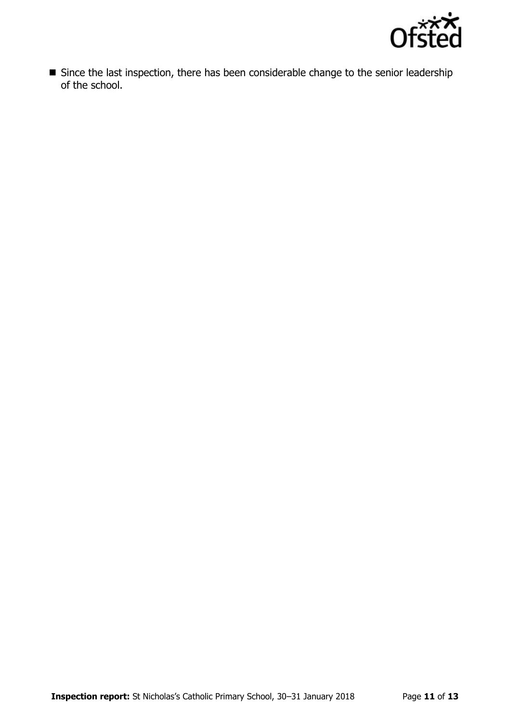

Since the last inspection, there has been considerable change to the senior leadership of the school.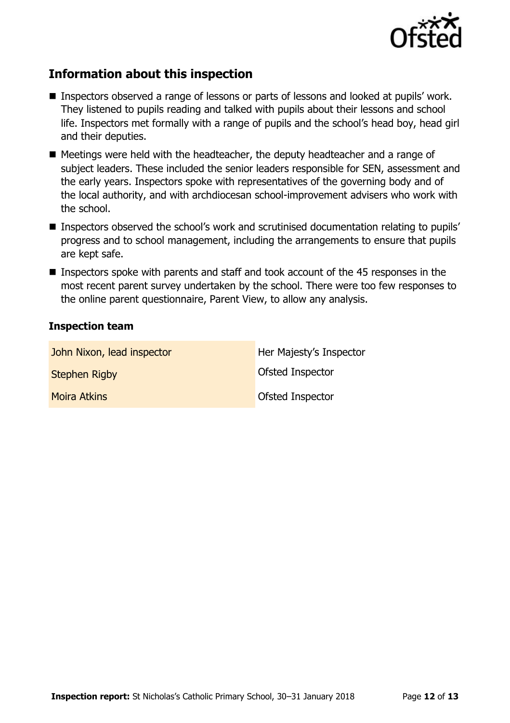

# **Information about this inspection**

- Inspectors observed a range of lessons or parts of lessons and looked at pupils' work. They listened to pupils reading and talked with pupils about their lessons and school life. Inspectors met formally with a range of pupils and the school's head boy, head girl and their deputies.
- Meetings were held with the headteacher, the deputy headteacher and a range of subject leaders. These included the senior leaders responsible for SEN, assessment and the early years. Inspectors spoke with representatives of the governing body and of the local authority, and with archdiocesan school-improvement advisers who work with the school.
- Inspectors observed the school's work and scrutinised documentation relating to pupils' progress and to school management, including the arrangements to ensure that pupils are kept safe.
- **Inspectors spoke with parents and staff and took account of the 45 responses in the** most recent parent survey undertaken by the school. There were too few responses to the online parent questionnaire, Parent View, to allow any analysis.

### **Inspection team**

| John Nixon, lead inspector | Her Majesty's Inspector |
|----------------------------|-------------------------|
| <b>Stephen Rigby</b>       | <b>Ofsted Inspector</b> |
| <b>Moira Atkins</b>        | <b>Ofsted Inspector</b> |